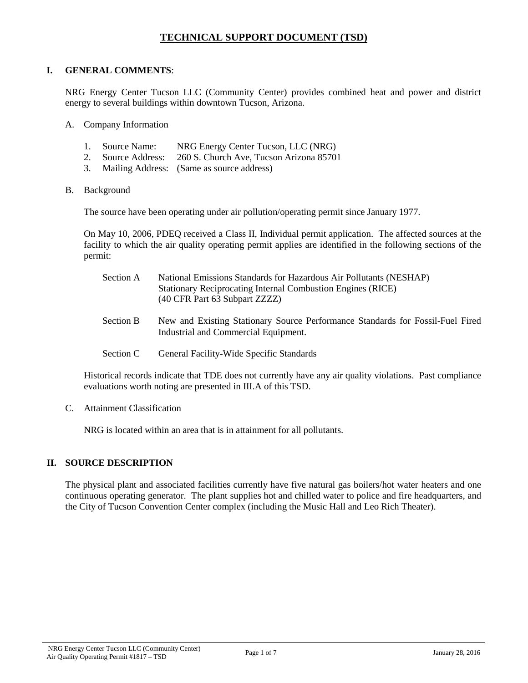# **TECHNICAL SUPPORT DOCUMENT (TSD)**

### **I. GENERAL COMMENTS**:

NRG Energy Center Tucson LLC (Community Center) provides combined heat and power and district energy to several buildings within downtown Tucson, Arizona.

- A. Company Information
	- 1. Source Name: NRG Energy Center Tucson, LLC (NRG)
	- 2. Source Address: 260 S. Church Ave, Tucson Arizona 85701
	- 3. Mailing Address: (Same as source address)
- B. Background

The source have been operating under air pollution/operating permit since January 1977.

On May 10, 2006, PDEQ received a Class II, Individual permit application. The affected sources at the facility to which the air quality operating permit applies are identified in the following sections of the permit:

| Section A | National Emissions Standards for Hazardous Air Pollutants (NESHAP)<br><b>Stationary Reciprocating Internal Combustion Engines (RICE)</b><br>(40 CFR Part 63 Subpart ZZZZ) |
|-----------|---------------------------------------------------------------------------------------------------------------------------------------------------------------------------|
| Section B | New and Existing Stationary Source Performance Standards for Fossil-Fuel Fired<br>Industrial and Commercial Equipment.                                                    |
| Section C | General Facility-Wide Specific Standards                                                                                                                                  |

Historical records indicate that TDE does not currently have any air quality violations. Past compliance evaluations worth noting are presented in III.A of this TSD.

C. Attainment Classification

NRG is located within an area that is in attainment for all pollutants.

#### **II. SOURCE DESCRIPTION**

The physical plant and associated facilities currently have five natural gas boilers/hot water heaters and one continuous operating generator. The plant supplies hot and chilled water to police and fire headquarters, and the City of Tucson Convention Center complex (including the Music Hall and Leo Rich Theater).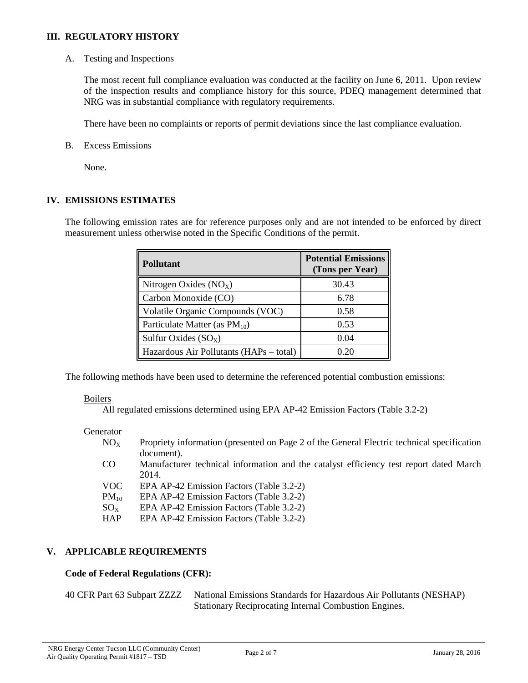### **III. REGULATORY HISTORY**

A. Testing and Inspections

The most recent full compliance evaluation was conducted at the facility on June 6, 2011. Upon review of the inspection results and compliance history for this source, PDEQ management determined that NRG was in substantial compliance with regulatory requirements.

There have been no complaints or reports of permit deviations since the last compliance evaluation.

B. Excess Emissions

None.

### **IV. EMISSIONS ESTIMATES**

The following emission rates are for reference purposes only and are not intended to be enforced by direct measurement unless otherwise noted in the Specific Conditions of the permit.

| <b>Pollutant</b>                        | <b>Potential Emissions</b><br>(Tons per Year) |
|-----------------------------------------|-----------------------------------------------|
| Nitrogen Oxides $(NOx)$                 | 30.43                                         |
| Carbon Monoxide (CO)                    | 6.78                                          |
| Volatile Organic Compounds (VOC)        | 0.58                                          |
| Particulate Matter (as $PM_{10}$ )      | 0.53                                          |
| Sulfur Oxides $(SO_x)$                  | 0.04                                          |
| Hazardous Air Pollutants (HAPs – total) | 0.20                                          |

The following methods have been used to determine the referenced potential combustion emissions:

## Boilers

All regulated emissions determined using EPA AP-42 Emission Factors (Table 3.2-2)

#### **Generator**

| $NO_{X}$        | Propriety information (presented on Page 2 of the General Electric technical specification |
|-----------------|--------------------------------------------------------------------------------------------|
|                 | document).                                                                                 |
| CO <sub>.</sub> | Manufacturer technical information and the catalyst efficiency test report dated March     |
|                 | 2014.                                                                                      |
| <b>VOC</b>      | EPA AP-42 Emission Factors (Table 3.2-2)                                                   |
| $PM_{10}$       | EPA AP-42 Emission Factors (Table 3.2-2)                                                   |
| $SO_{X}$        | EPA AP-42 Emission Factors (Table 3.2-2)                                                   |
| <b>HAP</b>      | EPA AP-42 Emission Factors (Table 3.2-2)                                                   |
|                 |                                                                                            |

## **V. APPLICABLE REQUIREMENTS**

## **Code of Federal Regulations (CFR):**

40 CFR Part 63 Subpart ZZZZ National Emissions Standards for Hazardous Air Pollutants (NESHAP) Stationary Reciprocating Internal Combustion Engines.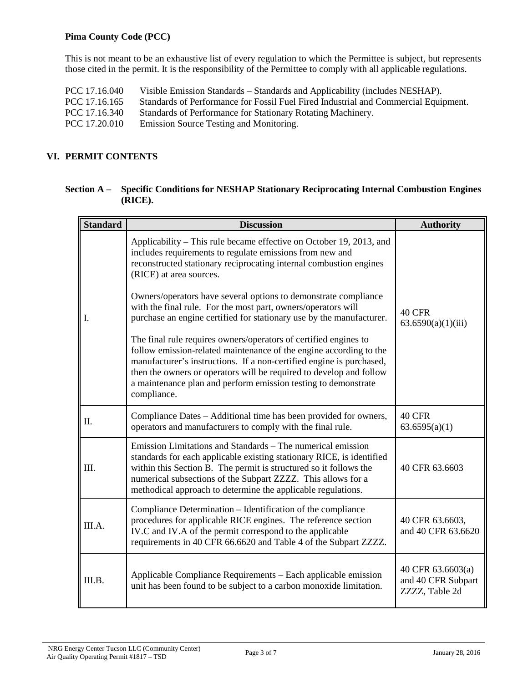### **Pima County Code (PCC)**

This is not meant to be an exhaustive list of every regulation to which the Permittee is subject, but represents those cited in the permit. It is the responsibility of the Permittee to comply with all applicable regulations.

PCC 17.16.040 Visible Emission Standards – Standards and Applicability (includes NESHAP).<br>PCC 17.16.165 Standards of Performance for Fossil Fuel Fired Industrial and Commercial Equi PCC 17.16.165 Standards of Performance for Fossil Fuel Fired Industrial and Commercial Equipment.<br>PCC 17.16.340 Standards of Performance for Stationary Rotating Machinery. Standards of Performance for Stationary Rotating Machinery. PCC 17.20.010 Emission Source Testing and Monitoring.

## **VI. PERMIT CONTENTS**

| Section A – Specific Conditions for NESHAP Stationary Reciprocating Internal Combustion Engines |
|-------------------------------------------------------------------------------------------------|
| (RICE).                                                                                         |

| <b>Standard</b> | <b>Discussion</b>                                                                                                                                                                                                                                                                                                                                                      | <b>Authority</b>                                          |
|-----------------|------------------------------------------------------------------------------------------------------------------------------------------------------------------------------------------------------------------------------------------------------------------------------------------------------------------------------------------------------------------------|-----------------------------------------------------------|
|                 | Applicability – This rule became effective on October 19, 2013, and<br>includes requirements to regulate emissions from new and<br>reconstructed stationary reciprocating internal combustion engines<br>(RICE) at area sources.                                                                                                                                       |                                                           |
| Ι.              | Owners/operators have several options to demonstrate compliance<br>with the final rule. For the most part, owners/operators will<br>purchase an engine certified for stationary use by the manufacturer.                                                                                                                                                               | <b>40 CFR</b><br>63.6590(a)(1)(iii)                       |
|                 | The final rule requires owners/operators of certified engines to<br>follow emission-related maintenance of the engine according to the<br>manufacturer's instructions. If a non-certified engine is purchased,<br>then the owners or operators will be required to develop and follow<br>a maintenance plan and perform emission testing to demonstrate<br>compliance. |                                                           |
| Π.              | Compliance Dates - Additional time has been provided for owners,<br>operators and manufacturers to comply with the final rule.                                                                                                                                                                                                                                         | <b>40 CFR</b><br>63.6595(a)(1)                            |
| III.            | Emission Limitations and Standards – The numerical emission<br>standards for each applicable existing stationary RICE, is identified<br>within this Section B. The permit is structured so it follows the<br>numerical subsections of the Subpart ZZZZ. This allows for a<br>methodical approach to determine the applicable regulations.                              | 40 CFR 63.6603                                            |
| III.A.          | Compliance Determination – Identification of the compliance<br>procedures for applicable RICE engines. The reference section<br>IV.C and IV.A of the permit correspond to the applicable<br>requirements in 40 CFR 66.6620 and Table 4 of the Subpart ZZZZ.                                                                                                            | 40 CFR 63.6603,<br>and 40 CFR 63.6620                     |
| III.B.          | Applicable Compliance Requirements - Each applicable emission<br>unit has been found to be subject to a carbon monoxide limitation.                                                                                                                                                                                                                                    | 40 CFR 63.6603(a)<br>and 40 CFR Subpart<br>ZZZZ, Table 2d |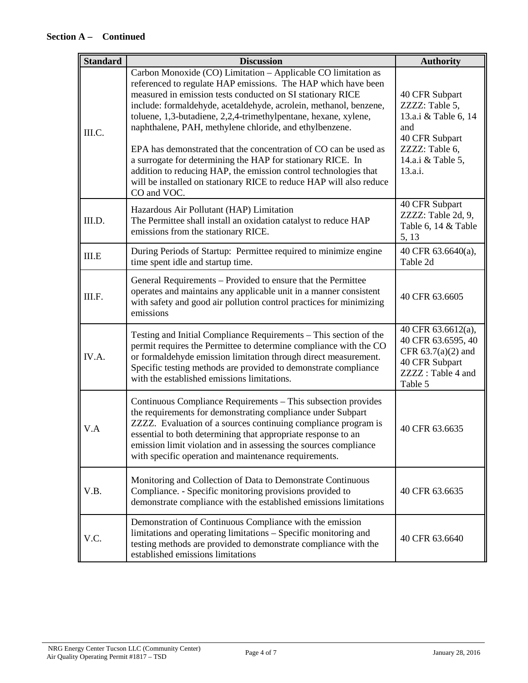| <b>Standard</b> | <b>Discussion</b>                                                                                                                                                                                                                                                                                                                                                                                                                                                                                                                                                                                                                                                                            | <b>Authority</b>                                                                                                                    |
|-----------------|----------------------------------------------------------------------------------------------------------------------------------------------------------------------------------------------------------------------------------------------------------------------------------------------------------------------------------------------------------------------------------------------------------------------------------------------------------------------------------------------------------------------------------------------------------------------------------------------------------------------------------------------------------------------------------------------|-------------------------------------------------------------------------------------------------------------------------------------|
| III.C.          | Carbon Monoxide (CO) Limitation - Applicable CO limitation as<br>referenced to regulate HAP emissions. The HAP which have been<br>measured in emission tests conducted on SI stationary RICE<br>include: formaldehyde, acetaldehyde, acrolein, methanol, benzene,<br>toluene, 1,3-butadiene, 2,2,4-trimethylpentane, hexane, xylene,<br>naphthalene, PAH, methylene chloride, and ethylbenzene.<br>EPA has demonstrated that the concentration of CO can be used as<br>a surrogate for determining the HAP for stationary RICE. In<br>addition to reducing HAP, the emission control technologies that<br>will be installed on stationary RICE to reduce HAP will also reduce<br>CO and VOC. | 40 CFR Subpart<br>ZZZZ: Table 5,<br>13.a.i & Table 6, 14<br>and<br>40 CFR Subpart<br>ZZZZ: Table 6,<br>14.a.i & Table 5,<br>13.a.i. |
| III.D.          | Hazardous Air Pollutant (HAP) Limitation<br>The Permittee shall install an oxidation catalyst to reduce HAP<br>emissions from the stationary RICE.                                                                                                                                                                                                                                                                                                                                                                                                                                                                                                                                           | 40 CFR Subpart<br>ZZZZ: Table 2d, 9,<br>Table 6, 14 & Table<br>5, 13                                                                |
| III.E           | During Periods of Startup: Permittee required to minimize engine<br>time spent idle and startup time.                                                                                                                                                                                                                                                                                                                                                                                                                                                                                                                                                                                        | 40 CFR 63.6640(a),<br>Table 2d                                                                                                      |
| III.F.          | General Requirements – Provided to ensure that the Permittee<br>operates and maintains any applicable unit in a manner consistent<br>with safety and good air pollution control practices for minimizing<br>emissions                                                                                                                                                                                                                                                                                                                                                                                                                                                                        | 40 CFR 63.6605                                                                                                                      |
| IV.A.           | Testing and Initial Compliance Requirements - This section of the<br>permit requires the Permittee to determine compliance with the CO<br>or formaldehyde emission limitation through direct measurement.<br>Specific testing methods are provided to demonstrate compliance<br>with the established emissions limitations.                                                                                                                                                                                                                                                                                                                                                                  | 40 CFR 63.6612(a),<br>40 CFR 63.6595, 40<br>CFR $63.7(a)(2)$ and<br>40 CFR Subpart<br>ZZZZ: Table 4 and<br>Table 5                  |
| V.A             | Continuous Compliance Requirements - This subsection provides<br>the requirements for demonstrating compliance under Subpart<br>ZZZZ. Evaluation of a sources continuing compliance program is<br>essential to both determining that appropriate response to an<br>emission limit violation and in assessing the sources compliance<br>with specific operation and maintenance requirements.                                                                                                                                                                                                                                                                                                 | 40 CFR 63.6635                                                                                                                      |
| V.B.            | Monitoring and Collection of Data to Demonstrate Continuous<br>Compliance. - Specific monitoring provisions provided to<br>demonstrate compliance with the established emissions limitations                                                                                                                                                                                                                                                                                                                                                                                                                                                                                                 | 40 CFR 63.6635                                                                                                                      |
| V.C.            | Demonstration of Continuous Compliance with the emission<br>limitations and operating limitations - Specific monitoring and<br>testing methods are provided to demonstrate compliance with the<br>established emissions limitations                                                                                                                                                                                                                                                                                                                                                                                                                                                          | 40 CFR 63.6640                                                                                                                      |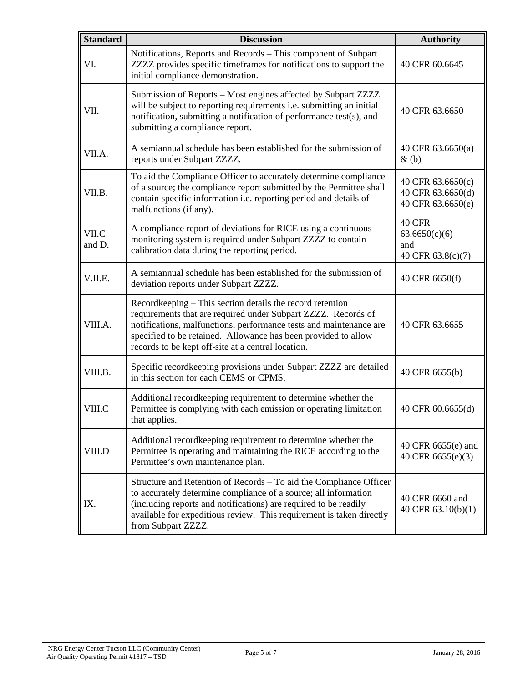| <b>Standard</b> | <b>Discussion</b>                                                                                                                                                                                                                                                                                                        | <b>Authority</b>                                            |
|-----------------|--------------------------------------------------------------------------------------------------------------------------------------------------------------------------------------------------------------------------------------------------------------------------------------------------------------------------|-------------------------------------------------------------|
| VI.             | Notifications, Reports and Records - This component of Subpart<br>ZZZZ provides specific timeframes for notifications to support the<br>initial compliance demonstration.                                                                                                                                                | 40 CFR 60.6645                                              |
| VII.            | Submission of Reports - Most engines affected by Subpart ZZZZ<br>will be subject to reporting requirements i.e. submitting an initial<br>notification, submitting a notification of performance test(s), and<br>submitting a compliance report.                                                                          | 40 CFR 63.6650                                              |
| VII.A.          | A semiannual schedule has been established for the submission of<br>reports under Subpart ZZZZ.                                                                                                                                                                                                                          | 40 CFR 63.6650(a)<br>$\&$ (b)                               |
| VII.B.          | To aid the Compliance Officer to accurately determine compliance<br>of a source; the compliance report submitted by the Permittee shall<br>contain specific information i.e. reporting period and details of<br>malfunctions (if any).                                                                                   | 40 CFR 63.6650(c)<br>40 CFR 63.6650(d)<br>40 CFR 63.6650(e) |
| VII.C<br>and D. | A compliance report of deviations for RICE using a continuous<br>monitoring system is required under Subpart ZZZZ to contain<br>calibration data during the reporting period.                                                                                                                                            | 40 CFR<br>63.6650(c)(6)<br>and<br>40 CFR 63.8(c)(7)         |
| V.II.E.         | A semiannual schedule has been established for the submission of<br>deviation reports under Subpart ZZZZ.                                                                                                                                                                                                                | 40 CFR 6650(f)                                              |
| VIII.A.         | Recordkeeping – This section details the record retention<br>requirements that are required under Subpart ZZZZ. Records of<br>notifications, malfunctions, performance tests and maintenance are<br>specified to be retained. Allowance has been provided to allow<br>records to be kept off-site at a central location. | 40 CFR 63.6655                                              |
| VIII.B.         | Specific recordkeeping provisions under Subpart ZZZZ are detailed<br>in this section for each CEMS or CPMS.                                                                                                                                                                                                              | 40 CFR 6655(b)                                              |
| VIII.C          | Additional recordkeeping requirement to determine whether the<br>Permittee is complying with each emission or operating limitation<br>that applies.                                                                                                                                                                      | 40 CFR 60.6655(d)                                           |
| VIII.D          | Additional recordkeeping requirement to determine whether the<br>Permittee is operating and maintaining the RICE according to the<br>Permittee's own maintenance plan.                                                                                                                                                   | 40 CFR 6655(e) and<br>40 CFR 6655(e)(3)                     |
| IX.             | Structure and Retention of Records - To aid the Compliance Officer<br>to accurately determine compliance of a source; all information<br>(including reports and notifications) are required to be readily<br>available for expeditious review. This requirement is taken directly<br>from Subpart ZZZZ.                  | 40 CFR 6660 and<br>40 CFR 63.10(b)(1)                       |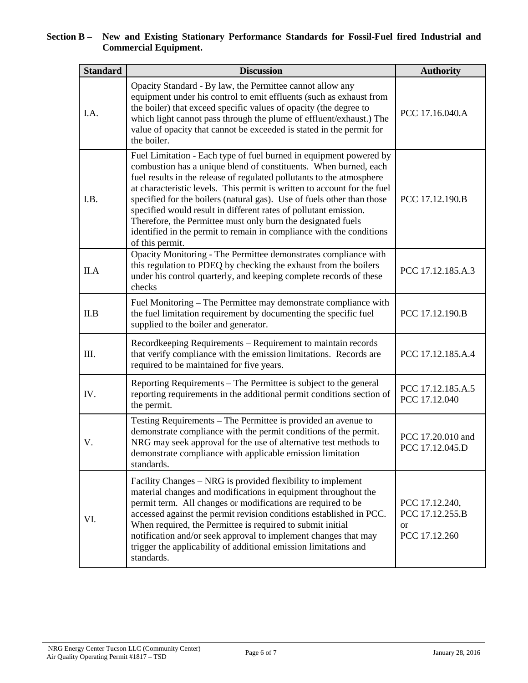### **Section B – New and Existing Stationary Performance Standards for Fossil-Fuel fired Industrial and Commercial Equipment.**

| <b>Standard</b> | <b>Discussion</b>                                                                                                                                                                                                                                                                                                                                                                                                                                                                                                                                                                                    | <b>Authority</b>                                                    |
|-----------------|------------------------------------------------------------------------------------------------------------------------------------------------------------------------------------------------------------------------------------------------------------------------------------------------------------------------------------------------------------------------------------------------------------------------------------------------------------------------------------------------------------------------------------------------------------------------------------------------------|---------------------------------------------------------------------|
| I.A.            | Opacity Standard - By law, the Permittee cannot allow any<br>equipment under his control to emit effluents (such as exhaust from<br>the boiler) that exceed specific values of opacity (the degree to<br>which light cannot pass through the plume of effluent/exhaust.) The<br>value of opacity that cannot be exceeded is stated in the permit for<br>the boiler.                                                                                                                                                                                                                                  | PCC 17.16.040.A                                                     |
| I.B.            | Fuel Limitation - Each type of fuel burned in equipment powered by<br>combustion has a unique blend of constituents. When burned, each<br>fuel results in the release of regulated pollutants to the atmosphere<br>at characteristic levels. This permit is written to account for the fuel<br>specified for the boilers (natural gas). Use of fuels other than those<br>specified would result in different rates of pollutant emission.<br>Therefore, the Permittee must only burn the designated fuels<br>identified in the permit to remain in compliance with the conditions<br>of this permit. | PCC 17.12.190.B                                                     |
| II.A            | Opacity Monitoring - The Permittee demonstrates compliance with<br>this regulation to PDEQ by checking the exhaust from the boilers<br>under his control quarterly, and keeping complete records of these<br>checks                                                                                                                                                                                                                                                                                                                                                                                  | PCC 17.12.185.A.3                                                   |
| II.B            | Fuel Monitoring – The Permittee may demonstrate compliance with<br>the fuel limitation requirement by documenting the specific fuel<br>supplied to the boiler and generator.                                                                                                                                                                                                                                                                                                                                                                                                                         | PCC 17.12.190.B                                                     |
| III.            | Recordkeeping Requirements – Requirement to maintain records<br>that verify compliance with the emission limitations. Records are<br>required to be maintained for five years.                                                                                                                                                                                                                                                                                                                                                                                                                       | PCC 17.12.185.A.4                                                   |
| IV.             | Reporting Requirements – The Permittee is subject to the general<br>reporting requirements in the additional permit conditions section of<br>the permit.                                                                                                                                                                                                                                                                                                                                                                                                                                             | PCC 17.12.185.A.5<br>PCC 17.12.040                                  |
| V.              | Testing Requirements – The Permittee is provided an avenue to<br>demonstrate compliance with the permit conditions of the permit.<br>NRG may seek approval for the use of alternative test methods to<br>demonstrate compliance with applicable emission limitation<br>standards.                                                                                                                                                                                                                                                                                                                    | PCC 17.20.010 and<br>PCC 17.12.045.D                                |
| VI.             | Facility Changes – NRG is provided flexibility to implement<br>material changes and modifications in equipment throughout the<br>permit term. All changes or modifications are required to be<br>accessed against the permit revision conditions established in PCC.<br>When required, the Permittee is required to submit initial<br>notification and/or seek approval to implement changes that may<br>trigger the applicability of additional emission limitations and<br>standards.                                                                                                              | PCC 17.12.240,<br>PCC 17.12.255.B<br><sub>or</sub><br>PCC 17.12.260 |